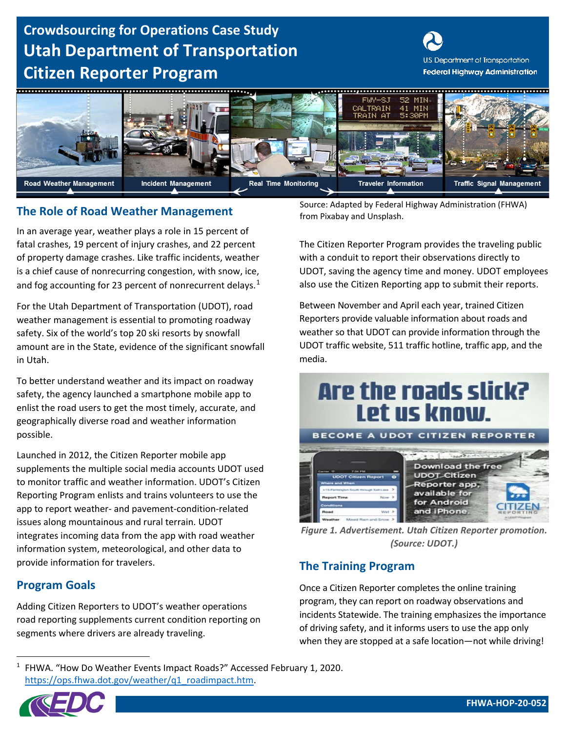## **Crowdsourcing for Operations Case Study Utah Department of Transportation Citizen Reporter Program**





### **The Role of Road Weather Management The Role of Road Weather Management The Role of Road Weather Management**

In an average year, weather plays a role in 15 percent of fatal crashes, 19 percent of injury crashes, and 22 percent of property damage crashes. Like traffic incidents, weather is a chief cause of nonrecurring congestion, with snow, ice, and fog accounting for 23 percent of nonrecurrent delays. $1$ 

For the Utah Department of Transportation (UDOT), road weather management is essential to promoting roadway safety. Six of the world's top 20 ski resorts by snowfall amount are in the State, evidence of the significant snowfall in Utah.

To better understand weather and its impact on roadway safety, the agency launched a smartphone mobile app to enlist the road users to get the most timely, accurate, and geographically diverse road and weather information possible.

Launched in 2012, the Citizen Reporter mobile app supplements the multiple social media accounts UDOT used to monitor traffic and weather information. UDOT's Citizen Reporting Program enlists and trains volunteers to use the app to report weather- and pavement-condition-related issues along mountainous and rural terrain. UDOT integrates incoming data from the app with road weather information system, meteorological, and other data to provide information for travelers.

### **Program Goals**

Adding Citizen Reporters to UDOT's weather operations road reporting supplements current condition reporting on segments where drivers are already traveling.

Source: Adapted by Federal Highway Administration (FHWA)

The Citizen Reporter Program provides the traveling public with a conduit to report their observations directly to UDOT, saving the agency time and money. UDOT employees also use the Citizen Reporting app to submit their reports.

Between November and April each year, trained Citizen Reporters provide valuable information about roads and weather so that UDOT can provide information through the UDOT traffic website, 511 traffic hotline, traffic app, and the media.

# Are the roads slick? Let us know.



*Figure 1. Advertisement. Utah Citizen Reporter promotion. (Source: UDOT.)* 

### **The Training Program**

Once a Citizen Reporter completes the online training program, they can report on roadway observations and incidents Statewide. The training emphasizes the importance of driving safety, and it informs users to use the app only when they are stopped at a safe location—not while driving!

<span id="page-0-0"></span><sup>&</sup>lt;sup>1</sup> FHWA. "How Do Weather Events Impact Roads?" Accessed February 1, 2020. [https://ops.fhwa.dot.gov/weather/q1\\_roadimpact.htm.](https://ops.fhwa.dot.gov/weather/q1_roadimpact.htm)